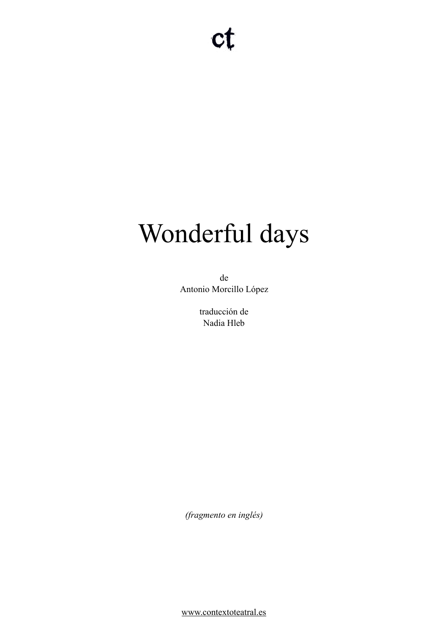# Wonderful days

de Antonio Morcillo López

> traducción de Nadia Hleb

*(fragmento en inglés)* 

[www.contextoteatral.es](http://www.contextoteatral.es)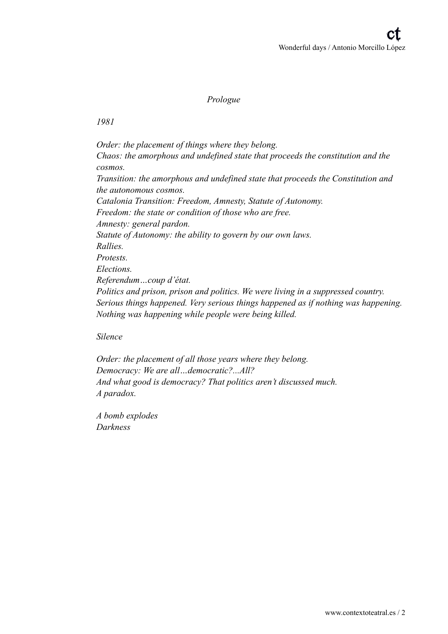## *Prologue*

*1981* 

*Order: the placement of things where they belong. Chaos: the amorphous and undefined state that proceeds the constitution and the cosmos. Transition: the amorphous and undefined state that proceeds the Constitution and the autonomous cosmos. Catalonia Transition: Freedom, Amnesty, Statute of Autonomy. Freedom: the state or condition of those who are free. Amnesty: general pardon. Statute of Autonomy: the ability to govern by our own laws. Rallies. Protests. Elections. Referendum…coup d'état. Politics and prison, prison and politics. We were living in a suppressed country. Serious things happened. Very serious things happened as if nothing was happening. Nothing was happening while people were being killed.* 

*Silence* 

*Order: the placement of all those years where they belong. Democracy: We are all…democratic?...All? And what good is democracy? That politics aren't discussed much. A paradox.* 

*A bomb explodes Darkness*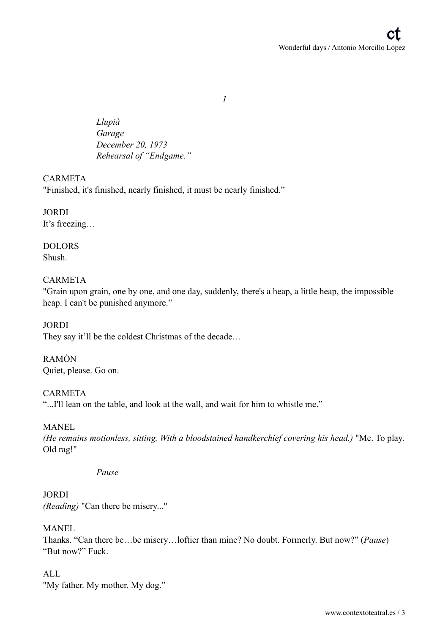*1* 

*Llupià Garage December 20, 1973 Rehearsal of "Endgame."* 

## **CARMETA**

"Finished, it's finished, nearly finished, it must be nearly finished."

JORDI It's freezing…

DOLORS Shush.

## CARMETA

"Grain upon grain, one by one, and one day, suddenly, there's a heap, a little heap, the impossible heap. I can't be punished anymore."

JORDI They say it'll be the coldest Christmas of the decade…

RAMÓN Quiet, please. Go on.

## CARMETA

"...I'll lean on the table, and look at the wall, and wait for him to whistle me."

## MANEL

*(He remains motionless, sitting. With a bloodstained handkerchief covering his head.)* "Me. To play. Old rag!"

#### *Pause*

JORDI *(Reading)* "Can there be misery..."

#### MANEL

Thanks. "Can there be…be misery…loftier than mine? No doubt. Formerly. But now?" (*Pause*) "But now?" Fuck.

#### ALL

"My father. My mother. My dog."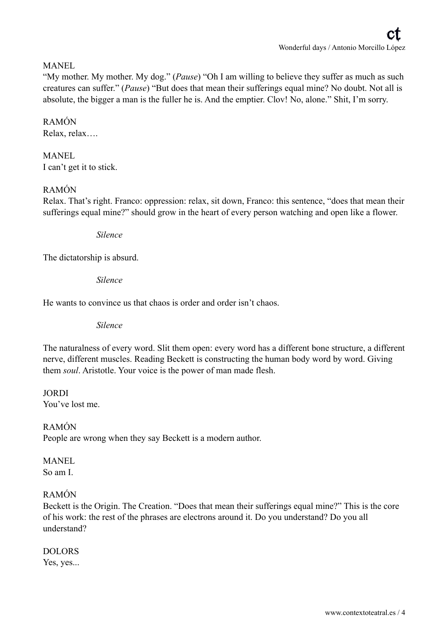## MANEL

"My mother. My mother. My dog." (*Pause*) "Oh I am willing to believe they suffer as much as such creatures can suffer." (*Pause*) "But does that mean their sufferings equal mine? No doubt. Not all is absolute, the bigger a man is the fuller he is. And the emptier. Clov! No, alone." Shit, I'm sorry.

# RAMÓN Relax, relax….

MANEL I can't get it to stick.

## RAMÓN

Relax. That's right. Franco: oppression: relax, sit down, Franco: this sentence, "does that mean their sufferings equal mine?" should grow in the heart of every person watching and open like a flower.

*Silence* 

The dictatorship is absurd.

#### *Silence*

He wants to convince us that chaos is order and order isn't chaos.

*Silence* 

The naturalness of every word. Slit them open: every word has a different bone structure, a different nerve, different muscles. Reading Beckett is constructing the human body word by word. Giving them *soul*. Aristotle. Your voice is the power of man made flesh.

JORDI You've lost me.

RAMÓN People are wrong when they say Beckett is a modern author.

#### MANEL So am I.

## RAMÓN

Beckett is the Origin. The Creation. "Does that mean their sufferings equal mine?" This is the core of his work: the rest of the phrases are electrons around it. Do you understand? Do you all understand?

## DOLORS

Yes, yes...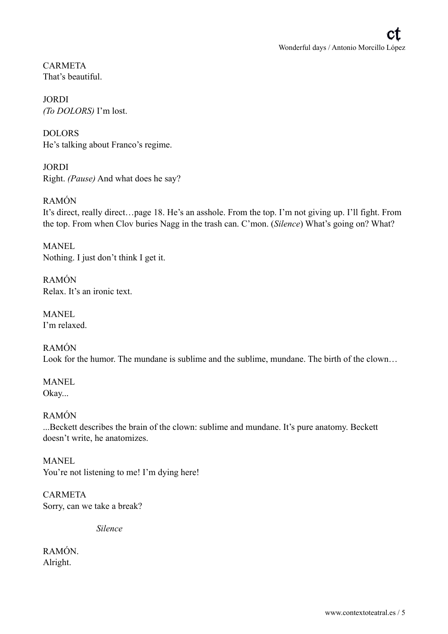CARMETA That's beautiful.

JORDI *(To DOLORS)* I'm lost.

DOLORS He's talking about Franco's regime.

JORDI Right. *(Pause)* And what does he say?

RAMÓN It's direct, really direct…page 18. He's an asshole. From the top. I'm not giving up. I'll fight. From the top. From when Clov buries Nagg in the trash can. C'mon. (*Silence*) What's going on? What?

MANEL Nothing. I just don't think I get it.

RAMÓN Relax. It's an ironic text.

MANEL I'm relaxed.

RAMÓN Look for the humor. The mundane is sublime and the sublime, mundane. The birth of the clown...

MANEL Okay...

RAMÓN ...Beckett describes the brain of the clown: sublime and mundane. It's pure anatomy. Beckett doesn't write, he anatomizes.

MANEL You're not listening to me! I'm dying here!

CARMETA Sorry, can we take a break?

*Silence* 

RAMÓN. Alright.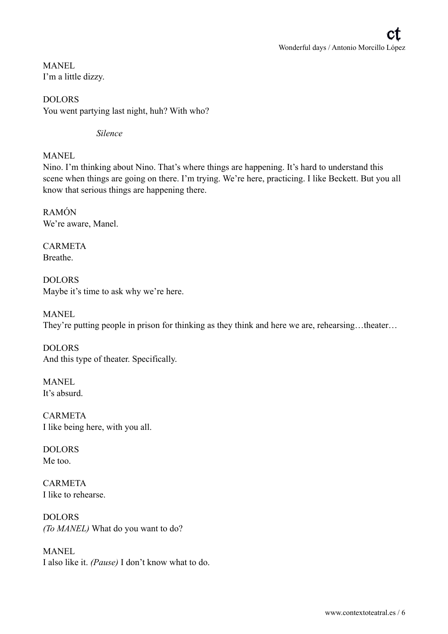MANEL I'm a little dizzy.

DOLORS You went partying last night, huh? With who?

*Silence* 

MANEL

Nino. I'm thinking about Nino. That's where things are happening. It's hard to understand this scene when things are going on there. I'm trying. We're here, practicing. I like Beckett. But you all know that serious things are happening there.

RAMÓN We're aware, Manel.

**CARMETA** Breathe.

DOLORS Maybe it's time to ask why we're here.

MANEL They're putting people in prison for thinking as they think and here we are, rehearsing...theater...

DOLORS And this type of theater. Specifically.

MANEL It's absurd.

CARMETA I like being here, with you all.

DOLORS Me too.

CARMETA I like to rehearse.

DOLORS *(To MANEL)* What do you want to do?

MANEL I also like it. *(Pause)* I don't know what to do.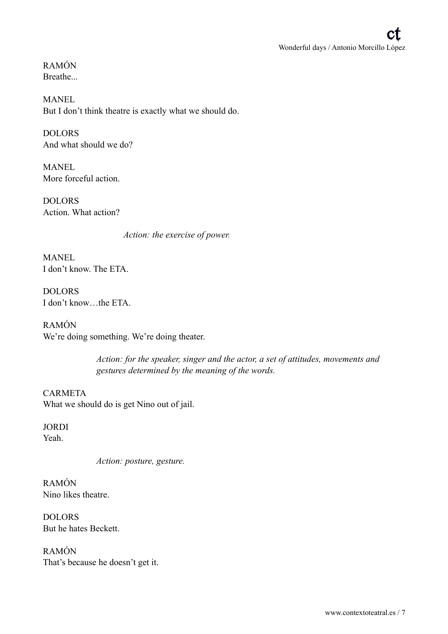RAMÓN **Breathe...** 

MANEL But I don't think theatre is exactly what we should do.

DOLORS And what should we do?

MANEL More forceful action.

DOLORS Action. What action?

*Action: the exercise of power.* 

**MANEL** I don't know. The ETA.

DOLORS I don't know…the ETA.

RAMÓN We're doing something. We're doing theater.

> *Action: for the speaker, singer and the actor, a set of attitudes, movements and gestures determined by the meaning of the words.*

CARMETA What we should do is get Nino out of jail.

JORDI Yeah.

*Action: posture, gesture.* 

RAMÓN Nino likes theatre.

DOLORS But he hates Beckett.

RAMÓN That's because he doesn't get it.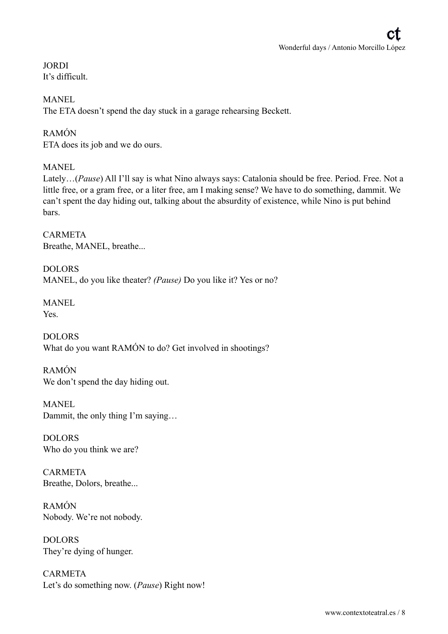# JORDI

It's difficult.

# MANEL

The ETA doesn't spend the day stuck in a garage rehearsing Beckett.

# RAMÓN

ETA does its job and we do ours.

# MANEL

Lately…(*Pause*) All I'll say is what Nino always says: Catalonia should be free. Period. Free. Not a little free, or a gram free, or a liter free, am I making sense? We have to do something, dammit. We can't spent the day hiding out, talking about the absurdity of existence, while Nino is put behind bars.

CARMETA Breathe, MANEL, breathe...

DOLORS MANEL, do you like theater? *(Pause)* Do you like it? Yes or no?

MANEL Yes.

DOLORS What do you want RAMÓN to do? Get involved in shootings?

RAMÓN We don't spend the day hiding out.

**MANEL** Dammit, the only thing I'm saying…

DOLORS Who do you think we are?

CARMETA Breathe, Dolors, breathe...

RAMÓN Nobody. We're not nobody.

DOLORS They're dying of hunger.

CARMETA Let's do something now. (*Pause*) Right now!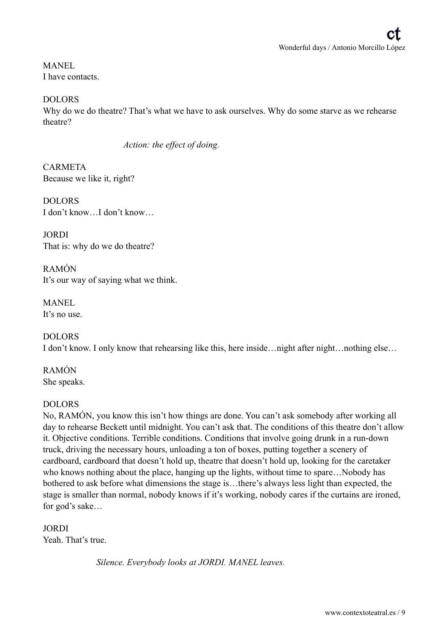MANEL I have contacts.

DOLORS

Why do we do theatre? That's what we have to ask ourselves. Why do some starve as we rehearse theatre?

*Action: the effect of doing.* 

CARMETA Because we like it, right?

DOLORS I don't know…I don't know…

JORDI That is: why do we do theatre?

RAMÓN It's our way of saying what we think.

MANEL It's no use.

DOLORS I don't know. I only know that rehearsing like this, here inside…night after night…nothing else…

RAMÓN She speaks.

# DOLORS

No, RAMÓN, you know this isn't how things are done. You can't ask somebody after working all day to rehearse Beckett until midnight. You can't ask that. The conditions of this theatre don't allow it. Objective conditions. Terrible conditions. Conditions that involve going drunk in a run-down truck, driving the necessary hours, unloading a ton of boxes, putting together a scenery of cardboard, cardboard that doesn't hold up, theatre that doesn't hold up, looking for the caretaker who knows nothing about the place, hanging up the lights, without time to spare…Nobody has bothered to ask before what dimensions the stage is…there's always less light than expected, the stage is smaller than normal, nobody knows if it's working, nobody cares if the curtains are ironed, for god's sake…

JORDI Yeah. That's true.

*Silence. Everybody looks at JORDI. MANEL leaves.*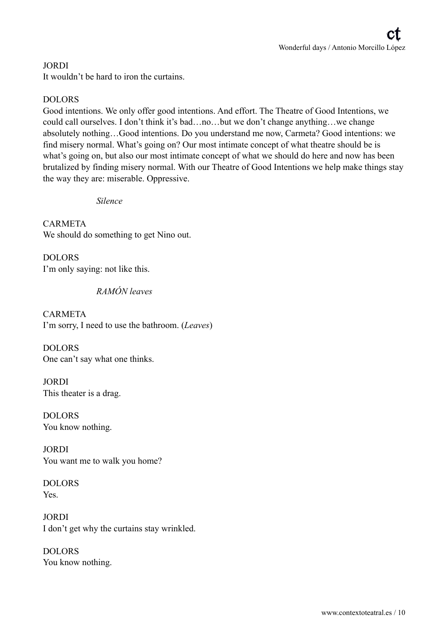# JORDI

It wouldn't be hard to iron the curtains.

# DOLORS

Good intentions. We only offer good intentions. And effort. The Theatre of Good Intentions, we could call ourselves. I don't think it's bad…no…but we don't change anything…we change absolutely nothing…Good intentions. Do you understand me now, Carmeta? Good intentions: we find misery normal. What's going on? Our most intimate concept of what theatre should be is what's going on, but also our most intimate concept of what we should do here and now has been brutalized by finding misery normal. With our Theatre of Good Intentions we help make things stay the way they are: miserable. Oppressive.

*Silence* 

CARMETA We should do something to get Nino out.

DOLORS I'm only saying: not like this.

*RAMÓN leaves* 

CARMETA I'm sorry, I need to use the bathroom. (*Leaves*)

DOLORS One can't say what one thinks.

JORDI This theater is a drag.

DOLORS You know nothing.

JORDI You want me to walk you home?

DOLORS Yes.

JORDI I don't get why the curtains stay wrinkled.

DOLORS You know nothing.